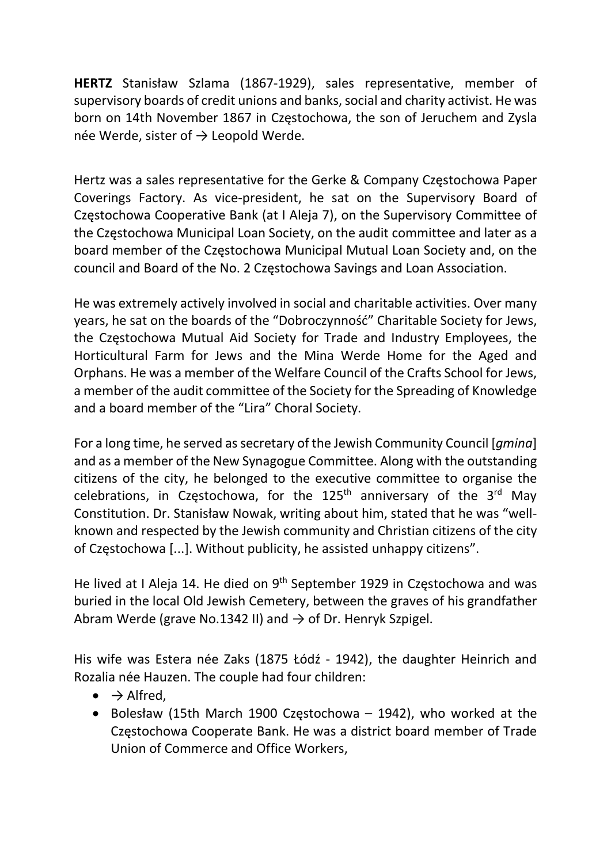HERTZ Stanisław Szlama (1867-1929), sales representative, member of supervisory boards of credit unions and banks, social and charity activist. He was born on 14th November 1867 in Częstochowa, the son of Jeruchem and Zysla née Werde, sister of  $\rightarrow$  Leopold Werde.

Hertz was a sales representative for the Gerke & Company Częstochowa Paper Coverings Factory. As vice-president, he sat on the Supervisory Board of Częstochowa Cooperative Bank (at I Aleja 7), on the Supervisory Committee of the Częstochowa Municipal Loan Society, on the audit committee and later as a board member of the Częstochowa Municipal Mutual Loan Society and, on the council and Board of the No. 2 Częstochowa Savings and Loan Association.

He was extremely actively involved in social and charitable activities. Over many years, he sat on the boards of the "Dobroczynność" Charitable Society for Jews, the Częstochowa Mutual Aid Society for Trade and Industry Employees, the Horticultural Farm for Jews and the Mina Werde Home for the Aged and Orphans. He was a member of the Welfare Council of the Crafts School for Jews, a member of the audit committee of the Society for the Spreading of Knowledge and a board member of the "Lira" Choral Society.

For a long time, he served as secretary of the Jewish Community Council [gmina] and as a member of the New Synagogue Committee. Along with the outstanding citizens of the city, he belonged to the executive committee to organise the celebrations, in Częstochowa, for the  $125<sup>th</sup>$  anniversary of the  $3<sup>rd</sup>$  May Constitution. Dr. Stanisław Nowak, writing about him, stated that he was "wellknown and respected by the Jewish community and Christian citizens of the city of Częstochowa [...]. Without publicity, he assisted unhappy citizens".

He lived at I Aleja 14. He died on 9<sup>th</sup> September 1929 in Częstochowa and was buried in the local Old Jewish Cemetery, between the graves of his grandfather Abram Werde (grave No.1342 II) and  $\rightarrow$  of Dr. Henryk Szpigel.

His wife was Estera née Zaks (1875 Łódź - 1942), the daughter Heinrich and Rozalia née Hauzen. The couple had four children:

- $\bullet \quad \rightarrow$  Alfred,
- Bolesław (15th March 1900 Częstochowa 1942), who worked at the Częstochowa Cooperate Bank. He was a district board member of Trade Union of Commerce and Office Workers,